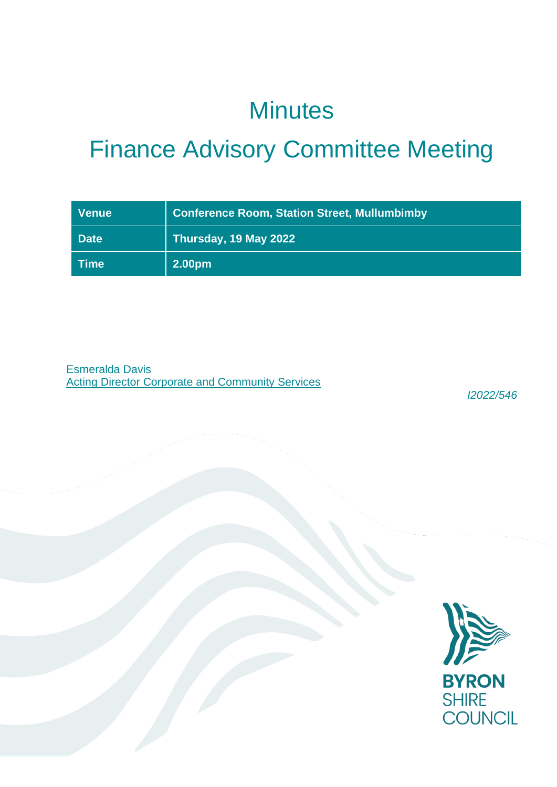## **Minutes**

# Finance Advisory Committee Meeting

| <b>Venue</b>    | <b>Conference Room, Station Street, Mullumbimby</b> |
|-----------------|-----------------------------------------------------|
| <b>Date</b>     | Thursday, 19 May 2022                               |
| $\sqrt{ }$ Time | 2.00pm                                              |

Esmeralda Davis Acting Director Corporate and Community Services

*I2022/546*

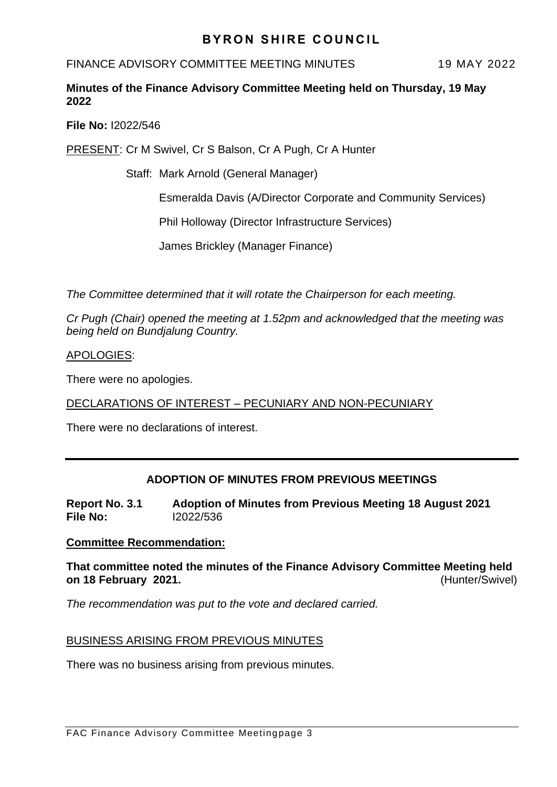## **BYRON SHIRE COUNCIL**

FINANCE ADVISORY COMMITTEE MEETING MINUTES 19 MAY 2022

## **Minutes of the Finance Advisory Committee Meeting held on Thursday, 19 May 2022**

**File No:** I2022/546

PRESENT: Cr M Swivel, Cr S Balson, Cr A Pugh, Cr A Hunter

Staff: Mark Arnold (General Manager)

Esmeralda Davis (A/Director Corporate and Community Services)

Phil Holloway (Director Infrastructure Services)

James Brickley (Manager Finance)

*The Committee determined that it will rotate the Chairperson for each meeting.*

*Cr Pugh (Chair) opened the meeting at 1.52pm and acknowledged that the meeting was being held on Bundjalung Country.*

APOLOGIES:

There were no apologies.

DECLARATIONS OF INTEREST – PECUNIARY AND NON-PECUNIARY

There were no declarations of interest.

## **ADOPTION OF MINUTES FROM PREVIOUS MEETINGS**

**Report No. 3.1 Adoption of Minutes from Previous Meeting 18 August 2021 File No:** I2022/536

### **Committee Recommendation:**

**That committee noted the minutes of the Finance Advisory Committee Meeting held on 18 February 2021.** (Hunter/Swivel)

*The recommendation was put to the vote and declared carried.*

### BUSINESS ARISING FROM PREVIOUS MINUTES

There was no business arising from previous minutes.